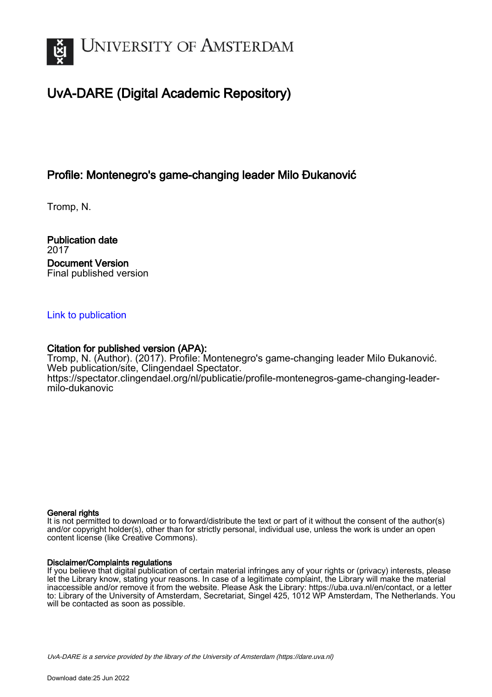

# UvA-DARE (Digital Academic Repository)

### Profile: Montenegro's game-changing leader Milo Đukanović

Tromp, N.

Publication date 2017 Document Version Final published version

#### [Link to publication](https://dare.uva.nl/personal/pure/en/publications/profile-montenegros-gamechanging-leader-milo-ukanovi(99273d81-87a6-47cc-b366-9ffc0ff8dc04).html)

#### Citation for published version (APA):

Tromp, N. (Author). (2017). Profile: Montenegro's game-changing leader Milo Đukanović. Web publication/site, Clingendael Spectator. [https://spectator.clingendael.org/nl/publicatie/profile-montenegros-game-changing-leader](https://spectator.clingendael.org/nl/publicatie/profile-montenegros-game-changing-leader-milo-dukanovic)[milo-dukanovic](https://spectator.clingendael.org/nl/publicatie/profile-montenegros-game-changing-leader-milo-dukanovic)

#### General rights

It is not permitted to download or to forward/distribute the text or part of it without the consent of the author(s) and/or copyright holder(s), other than for strictly personal, individual use, unless the work is under an open content license (like Creative Commons).

#### Disclaimer/Complaints regulations

If you believe that digital publication of certain material infringes any of your rights or (privacy) interests, please let the Library know, stating your reasons. In case of a legitimate complaint, the Library will make the material inaccessible and/or remove it from the website. Please Ask the Library: https://uba.uva.nl/en/contact, or a letter to: Library of the University of Amsterdam, Secretariat, Singel 425, 1012 WP Amsterdam, The Netherlands. You will be contacted as soon as possible.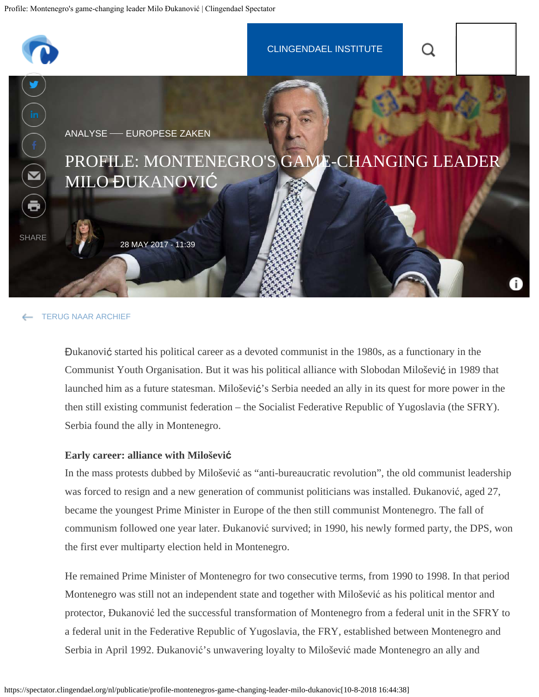<span id="page-1-0"></span>

#### [TERUG NAAR ARCHIEF](https://spectator.clingendael.org/nl/publicaties)

Đukanović started his political career as a devoted communist in the 1980s, as a functionary in the Communist Youth Organisation. But it was his political alliance with Slobodan Milošević in 1989 that launched him as a future statesman. Milošević's Serbia needed an ally in its quest for more power in the then still existing communist federation – the Socialist Federative Republic of Yugoslavia (the SFRY). Serbia found the ally in Montenegro.

#### **Early career: alliance with Milošević**

In the mass protests dubbed by Milošević as "anti-bureaucratic revolution", the old communist leadership was forced to resign and a new generation of communist politicians was installed. Đukanović, aged 27, became the youngest Prime Minister in Europe of the then still communist Montenegro. The fall of communism followed one year later. Đukanović survived; in 1990, his newly formed party, the DPS, won the first ever multiparty election held in Montenegro.

He remained Prime Minister of Montenegro for two consecutive terms, from 1990 to 1998. In that period Montenegro was still not an independent state and together with Milošević as his political mentor and protector, Đukanović led the successful transformation of Montenegro from a federal unit in the SFRY to a federal unit in the Federative Republic of Yugoslavia, the FRY, established between Montenegro and Serbia in April 1992. Đukanović's unwavering loyalty to Milošević made Montenegro an ally and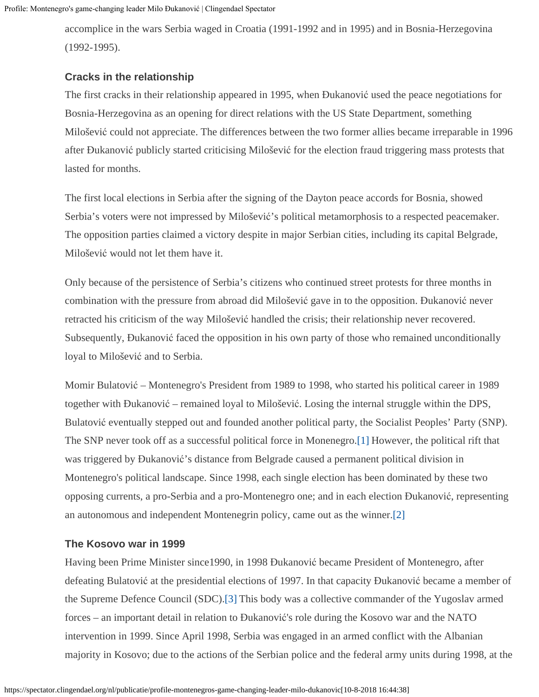accomplice in the wars Serbia waged in Croatia (1991-1992 and in 1995) and in Bosnia-Herzegovina (1992-1995).

#### **Cracks in the relationship**

The first cracks in their relationship appeared in 1995, when Đukanović used the peace negotiations for Bosnia-Herzegovina as an opening for direct relations with the US State Department, something Milošević could not appreciate. The differences between the two former allies became irreparable in 1996 after Đukanović publicly started criticising Milošević for the election fraud triggering mass protests that lasted for months.

The first local elections in Serbia after the signing of the Dayton peace accords for Bosnia, showed Serbia's voters were not impressed by Milošević's political metamorphosis to a respected peacemaker. The opposition parties claimed a victory despite in major Serbian cities, including its capital Belgrade, Milošević would not let them have it.

Only because of the persistence of Serbia's citizens who continued street protests for three months in combination with the pressure from abroad did Milošević gave in to the opposition. Đukanović never retracted his criticism of the way Milošević handled the crisis; their relationship never recovered. Subsequently, Đukanović faced the opposition in his own party of those who remained unconditionally loyal to Milošević and to Serbia.

<span id="page-2-0"></span>Momir Bulatović – Montenegro's President from 1989 to 1998, who started his political career in 1989 together with Đukanović – remained loyal to Milošević. Losing the internal struggle within the DPS, Bulatović eventually stepped out and founded another political party, the Socialist Peoples' Party (SNP). The SNP never took off as a successful political force in Monenegro[.\[1\]](#page-5-0) However, the political rift that was triggered by Đukanović's distance from Belgrade caused a permanent political division in Montenegro's political landscape. Since 1998, each single election has been dominated by these two opposing currents, a pro-Serbia and a pro-Montenegro one; and in each election Đukanović, representing an autonomous and independent Montenegrin policy, came out as the winner[.\[2\]](#page-5-1)

#### <span id="page-2-1"></span>**The Kosovo war in 1999**

<span id="page-2-2"></span>Having been Prime Minister since1990, in 1998 Đukanović became President of Montenegro, after defeating Bulatović at the presidential elections of 1997. In that capacity Đukanović became a member of the Supreme Defence Council (SDC)[.\[3\]](#page-5-2) This body was a collective commander of the Yugoslav armed forces – an important detail in relation to Đukanović's role during the Kosovo war and the NATO intervention in 1999. Since April 1998, Serbia was engaged in an armed conflict with the Albanian majority in Kosovo; due to the actions of the Serbian police and the federal army units during 1998, at the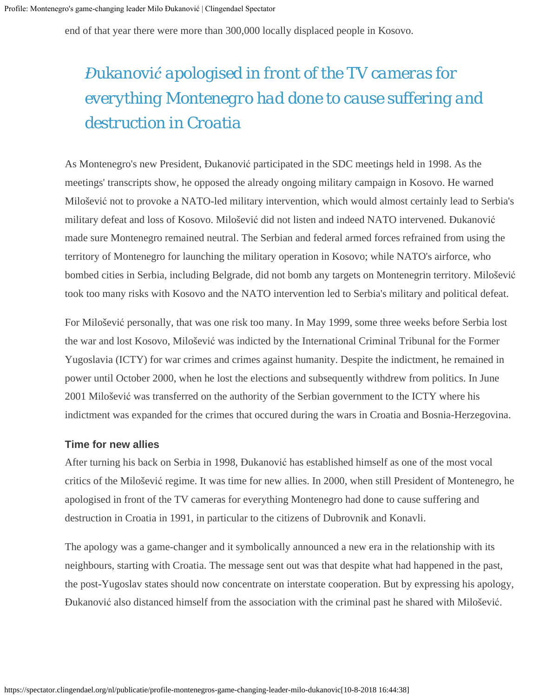end of that year there were more than 300,000 locally displaced people in Kosovo.

# *Đukanović apologised in front of the TV cameras for everything Montenegro had done to cause suffering and destruction in Croatia*

As Montenegro's new President, Đukanović participated in the SDC meetings held in 1998. As the meetings' transcripts show, he opposed the already ongoing military campaign in Kosovo. He warned Milošević not to provoke a NATO-led military intervention, which would almost certainly lead to Serbia's military defeat and loss of Kosovo. Milošević did not listen and indeed NATO intervened. Đukanović made sure Montenegro remained neutral. The Serbian and federal armed forces refrained from using the territory of Montenegro for launching the military operation in Kosovo; while NATO's airforce, who bombed cities in Serbia, including Belgrade, did not bomb any targets on Montenegrin territory. Milošević took too many risks with Kosovo and the NATO intervention led to Serbia's military and political defeat.

For Milošević personally, that was one risk too many. In May 1999, some three weeks before Serbia lost the war and lost Kosovo, Milošević was indicted by the International Criminal Tribunal for the Former Yugoslavia (ICTY) for war crimes and crimes against humanity. Despite the indictment, he remained in power until October 2000, when he lost the elections and subsequently withdrew from politics. In June 2001 Milošević was transferred on the authority of the Serbian government to the ICTY where his indictment was expanded for the crimes that occured during the wars in Croatia and Bosnia-Herzegovina.

#### **Time for new allies**

After turning his back on Serbia in 1998, Đukanović has established himself as one of the most vocal critics of the Milošević regime. It was time for new allies. In 2000, when still President of Montenegro, he apologised in front of the TV cameras for everything Montenegro had done to cause suffering and destruction in Croatia in 1991, in particular to the citizens of Dubrovnik and Konavli.

The apology was a game-changer and it symbolically announced a new era in the relationship with its neighbours, starting with Croatia. The message sent out was that despite what had happened in the past, the post-Yugoslav states should now concentrate on interstate cooperation. But by expressing his apology, Đukanović also distanced himself from the association with the criminal past he shared with Milošević.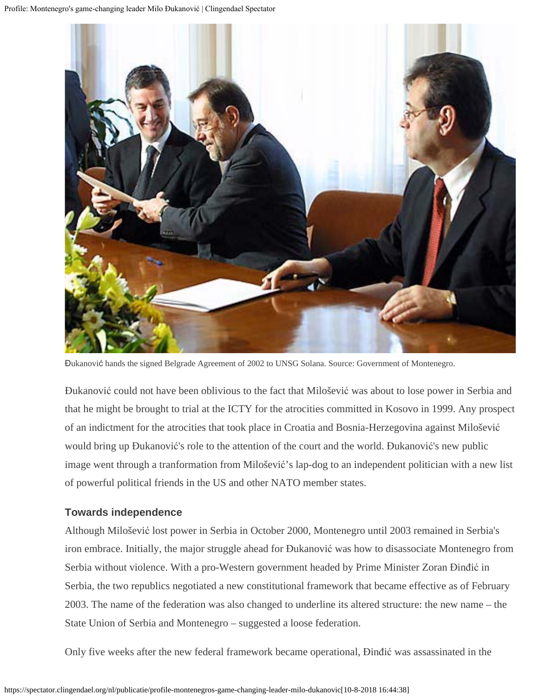

Đukanović hands the signed Belgrade Agreement of 2002 to UNSG Solana. Source: Government of Montenegro.

Đukanović could not have been oblivious to the fact that Milošević was about to lose power in Serbia and that he might be brought to trial at the ICTY for the atrocities committed in Kosovo in 1999. Any prospect of an indictment for the atrocities that took place in Croatia and Bosnia-Herzegovina against Milošević would bring up Đukanović's role to the attention of the court and the world. Đukanović's new public image went through a tranformation from Milošević's lap-dog to an independent politician with a new list of powerful political friends in the US and other NATO member states.

#### **Towards independence**

Although Milošević lost power in Serbia in October 2000, Montenegro until 2003 remained in Serbia's iron embrace. Initially, the major struggle ahead for Đukanović was how to disassociate Montenegro from Serbia without violence. With a pro-Western government headed by Prime Minister Zoran Đinđić in Serbia, the two republics negotiated a new constitutional framework that became effective as of February 2003. The name of the federation was also changed to underline its altered structure: the new name – the State Union of Serbia and Montenegro – suggested a loose federation.

Only five weeks after the new federal framework became operational, Đinđić was assassinated in the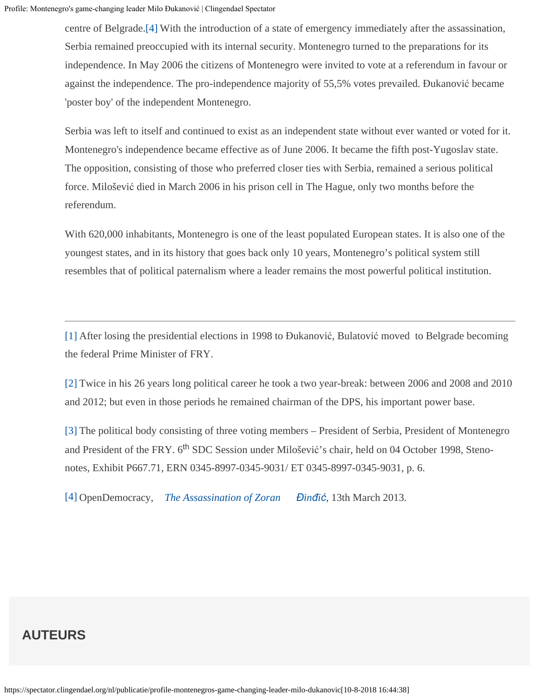<span id="page-5-4"></span>centre of Belgrade[.\[4\]](#page-5-3) With the introduction of a state of emergency immediately after the assassination, Serbia remained preoccupied with its internal security. Montenegro turned to the preparations for its independence. In May 2006 the citizens of Montenegro were invited to vote at a referendum in favour or against the independence. The pro-independence majority of 55,5% votes prevailed. Đukanović became 'poster boy' of the independent Montenegro.

Serbia was left to itself and continued to exist as an independent state without ever wanted or voted for it. Montenegro's independence became effective as of June 2006. It became the fifth post-Yugoslav state. The opposition, consisting of those who preferred closer ties with Serbia, remained a serious political force. Milošević died in March 2006 in his prison cell in The Hague, only two months before the referendum.

With 620,000 inhabitants, Montenegro is one of the least populated European states. It is also one of the youngest states, and in its history that goes back only 10 years, Montenegro's political system still resembles that of political paternalism where a leader remains the most powerful political institution.

<span id="page-5-0"></span>[\[1\]](#page-2-0) After losing the presidential elections in 1998 to Đukanović, Bulatović moved to Belgrade becoming the federal Prime Minister of FRY.

<span id="page-5-1"></span>[\[2\]](#page-2-1) Twice in his 26 years long political career he took a two year-break: between 2006 and 2008 and 2010 and 2012; but even in those periods he remained chairman of the DPS, his important power base.

<span id="page-5-2"></span>[\[3\]](#page-2-2) The political body consisting of three voting members – President of Serbia, President of Montenegro and President of the FRY. 6<sup>th</sup> SDC Session under Milošević's chair, held on 04 October 1998, Stenonotes, Exhibit P667.71, ERN 0345-8997-0345-9031/ ET 0345-8997-0345-9031, p. 6.

<span id="page-5-3"></span>[\[4\]](#page-5-4) OpenDemocracy, *[The Assassination of Zoran](https://www.opendemocracy.net/democracy-yugoslavia/article_1042.jsp) [Đ](https://www.opendemocracy.net/democracy-yugoslavia/article_1042.jsp)[in](https://www.opendemocracy.net/democracy-yugoslavia/article_1042.jsp)[đ](https://www.opendemocracy.net/democracy-yugoslavia/article_1042.jsp)[i](https://www.opendemocracy.net/democracy-yugoslavia/article_1042.jsp)[ć](https://www.opendemocracy.net/democracy-yugoslavia/article_1042.jsp)*, 13th March 2013.

## **AUTEURS**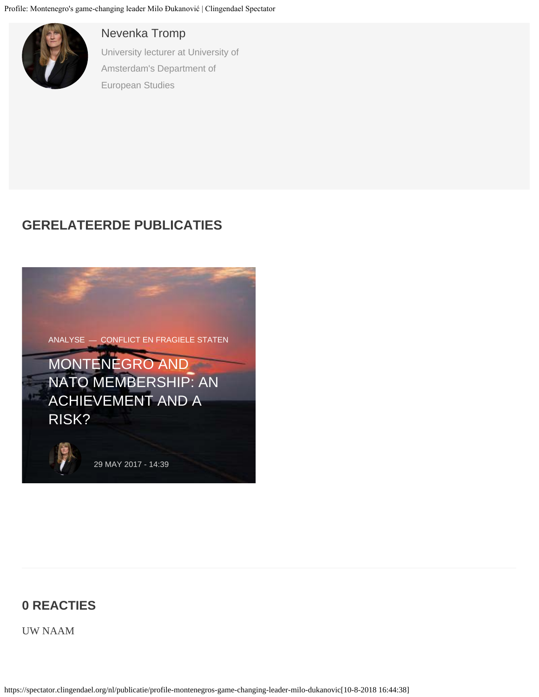

#### [Nevenka Tromp](https://spectator.clingendael.org/nl/auteur/nevenka-tromp)

University lecturer at University of Amsterdam's Department of European Studies

## **GERELATEERDE PUBLICATIES**



## **0 REACTIES**

UW NAAM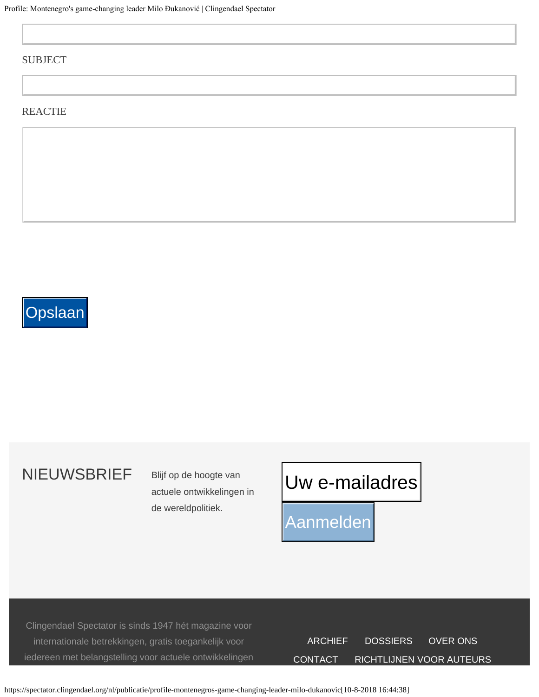#### SUBJECT

#### **REACTIE**

# **Opslaan**

# NIEUWSBRIEF Blijf op de hoogte van

actuele ontwikkelingen in de wereldpolitiek.

# Uw e-mailadres Uw e-mailadres

Aanmelden

Clingendael Spectator is sinds 1947 hét magazine voor internationale betrekkingen, gratis toegankelijk voor iedereen met belangstelling voor actuele ontwikkelingen

| <b>ARCHIEF</b> | <b>DOSSIERS</b>          | OVER ONS |
|----------------|--------------------------|----------|
| CONTACT.       | RICHTLIJNEN VOOR AUTEURS |          |

https://spectator.clingendael.org/nl/publicatie/profile-montenegros-game-changing-leader-milo-dukanovic[10-8-2018 16:44:38]